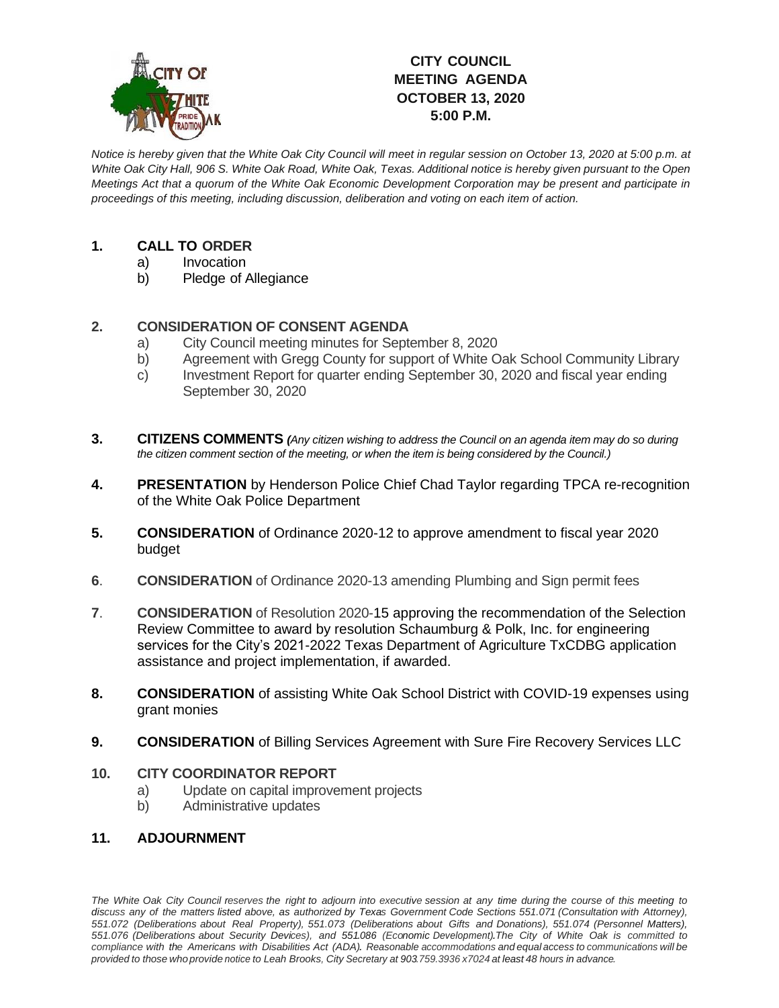

## **CITY COUNCIL MEETING AGENDA OCTOBER 13, 2020 5:00 P.M.**

*Notice is hereby given that the White Oak City Council will meet in regular session on October 13, 2020 at 5:00 p.m. at White Oak City Hall, 906 S. White Oak Road, White Oak, Texas. Additional notice is hereby given pursuant to the Open Meetings Act that a quorum of the White Oak Economic Development Corporation may be present and participate in proceedings of this meeting, including discussion, deliberation and voting on each item of action.*

## **1. CALL TO ORDER**

- a) Invocation
- b) Pledge of Allegiance

## **2. CONSIDERATION OF CONSENT AGENDA**

- a) City Council meeting minutes for September 8, 2020
- b) Agreement with Gregg County for support of White Oak School Community Library
- c) Investment Report for quarter ending September 30, 2020 and fiscal year ending September 30, 2020
- **3. CITIZENS COMMENTS** *(Any citizen wishing to address the Council on an agenda item may do so during the citizen comment section of the meeting, or when the item is being considered by the Council.)*
- **4. PRESENTATION** by Henderson Police Chief Chad Taylor regarding TPCA re-recognition of the White Oak Police Department
- **5. CONSIDERATION** of Ordinance 2020-12 to approve amendment to fiscal year 2020 budget
- **6**. **CONSIDERATION** of Ordinance 2020-13 amending Plumbing and Sign permit fees
- **7**. **CONSIDERATION** of Resolution 2020-15 approving the recommendation of the Selection Review Committee to award by resolution Schaumburg & Polk, Inc. for engineering services for the City's 2021-2022 Texas Department of Agriculture TxCDBG application assistance and project implementation, if awarded.
- **8. CONSIDERATION** of assisting White Oak School District with COVID-19 expenses using grant monies
- **9. CONSIDERATION** of Billing Services Agreement with Sure Fire Recovery Services LLC

## **10. CITY COORDINATOR REPORT**

- a) Update on capital improvement projects
- b) Administrative updates
- **11. ADJOURNMENT**

The White Oak City Council reserves the right to adjourn into executive session at any time during the course of this meeting to discuss any of the matters listed above, as authorized by Texas Government Code Sections 551.071 (Consultation with Attorney), *551.072 (Deliberations about Real Property), 551.073 (Deliberations about Gifts and Donations), 551.074 (Personnel Matters), 551.076 (Deliberations about Security Devices), and 551.086 (Economic Development).The City of White Oak is committed to* compliance with the Americans with Disabilities Act (ADA). Reasonable accommodations and equal access to communications will be provided to those who provide notice to Leah Brooks, City Secretary at 903.759.3936 x7024 at least 48 hours in advance.